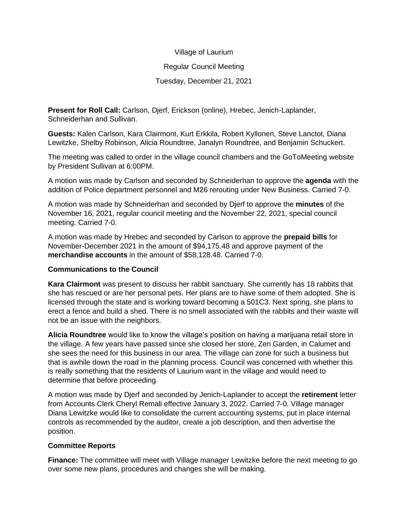# Village of Laurium

#### Regular Council Meeting

# Tuesday, December 21, 2021

**Present for Roll Call:** Carlson, Djerf, Erickson (online), Hrebec, Jenich-Laplander, Schneiderhan and Sullivan.

**Guests:** Kalen Carlson, Kara Clairmont, Kurt Erkkila, Robert Kyllonen, Steve Lanctot, Diana Lewitzke, Shelby Robinson, Alicia Roundtree, Janalyn Roundtree, and Benjamin Schuckert.

The meeting was called to order in the village council chambers and the GoToMeeting website by President Sullivan at 6:00PM.

A motion was made by Carlson and seconded by Schneiderhan to approve the **agenda** with the addition of Police department personnel and M26 rerouting under New Business. Carried 7-0.

A motion was made by Schneiderhan and seconded by Djerf to approve the **minutes** of the November 16, 2021, regular council meeting and the November 22, 2021, special council meeting. Carried 7-0.

A motion was made by Hrebec and seconded by Carlson to approve the **prepaid bills** for November-December 2021 in the amount of \$94,175.48 and approve payment of the **merchandise accounts** in the amount of \$58,128.48. Carried 7-0.

# **Communications to the Council**

**Kara Clairmont** was present to discuss her rabbit sanctuary. She currently has 18 rabbits that she has rescued or are her personal pets. Her plans are to have some of them adopted. She is licensed through the state and is working toward becoming a 501C3. Next spring, she plans to erect a fence and build a shed. There is no smell associated with the rabbits and their waste will not be an issue with the neighbors.

**Alicia Roundtree** would like to know the village's position on having a marijuana retail store in the village. A few years have passed since she closed her store, Zen Garden, in Calumet and she sees the need for this business in our area. The village can zone for such a business but that is awhile down the road in the planning process. Council was concerned with whether this is really something that the residents of Laurium want in the village and would need to determine that before proceeding.

A motion was made by Djerf and seconded by Jenich-Laplander to accept the **retirement** letter from Accounts Clerk Cheryl Remali effective January 3, 2022. Carried 7-0. Village manager Diana Lewitzke would like to consolidate the current accounting systems, put in place internal controls as recommended by the auditor, create a job description, and then advertise the position.

# **Committee Reports**

**Finance:** The committee will meet with Village manager Lewitzke before the next meeting to go over some new plans, procedures and changes she will be making.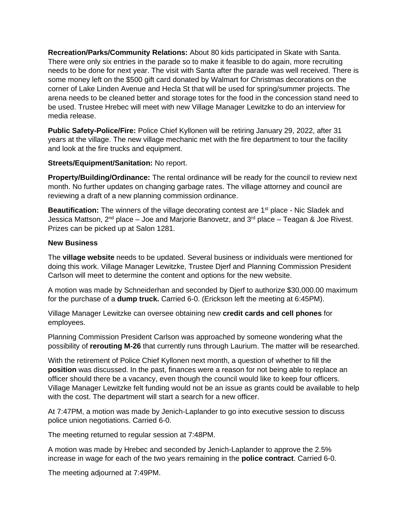**Recreation/Parks/Community Relations:** About 80 kids participated in Skate with Santa. There were only six entries in the parade so to make it feasible to do again, more recruiting needs to be done for next year. The visit with Santa after the parade was well received. There is some money left on the \$500 gift card donated by Walmart for Christmas decorations on the corner of Lake Linden Avenue and Hecla St that will be used for spring/summer projects. The arena needs to be cleaned better and storage totes for the food in the concession stand need to be used. Trustee Hrebec will meet with new Village Manager Lewitzke to do an interview for media release.

**Public Safety-Police/Fire:** Police Chief Kyllonen will be retiring January 29, 2022, after 31 years at the village. The new village mechanic met with the fire department to tour the facility and look at the fire trucks and equipment.

#### **Streets/Equipment/Sanitation:** No report.

**Property/Building/Ordinance:** The rental ordinance will be ready for the council to review next month. No further updates on changing garbage rates. The village attorney and council are reviewing a draft of a new planning commission ordinance.

Beautification: The winners of the village decorating contest are 1<sup>st</sup> place - Nic Sladek and Jessica Mattson,  $2^{nd}$  place – Joe and Marjorie Banovetz, and  $3^{rd}$  place – Teagan & Joe Rivest. Prizes can be picked up at Salon 1281.

#### **New Business**

The **village website** needs to be updated. Several business or individuals were mentioned for doing this work. Village Manager Lewitzke, Trustee Djerf and Planning Commission President Carlson will meet to determine the content and options for the new website.

A motion was made by Schneiderhan and seconded by Djerf to authorize \$30,000.00 maximum for the purchase of a **dump truck.** Carried 6-0. (Erickson left the meeting at 6:45PM).

Village Manager Lewitzke can oversee obtaining new **credit cards and cell phones** for employees.

Planning Commission President Carlson was approached by someone wondering what the possibility of **rerouting M-26** that currently runs through Laurium. The matter will be researched.

With the retirement of Police Chief Kyllonen next month, a question of whether to fill the **position** was discussed. In the past, finances were a reason for not being able to replace an officer should there be a vacancy, even though the council would like to keep four officers. Village Manager Lewitzke felt funding would not be an issue as grants could be available to help with the cost. The department will start a search for a new officer.

At 7:47PM, a motion was made by Jenich-Laplander to go into executive session to discuss police union negotiations. Carried 6-0.

The meeting returned to regular session at 7:48PM.

A motion was made by Hrebec and seconded by Jenich-Laplander to approve the 2.5% increase in wage for each of the two years remaining in the **police contract**. Carried 6-0.

The meeting adjourned at 7:49PM.